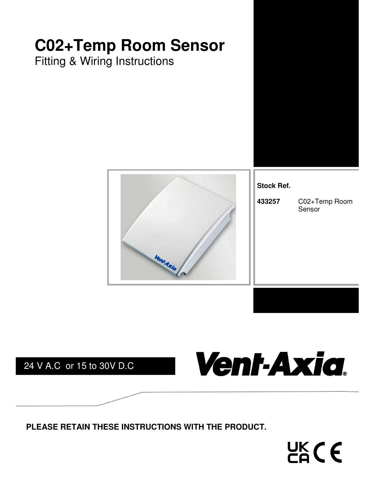# **C02+Temp Room Sensor**

Fitting & Wiring Instructions





**Stock Ref.** 

Vent-Axia.

**433257** C02+Temp Room Sensor

24 V A.C or 15 to 30V D.C

**PLEASE RETAIN THESE INSTRUCTIONS WITH THE PRODUCT.** 

 $CAC$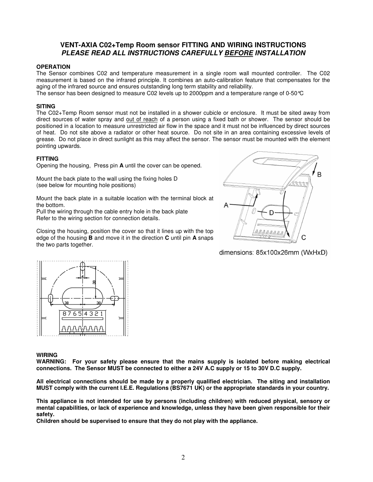#### **VENT-AXIA C02+Temp Room sensor FITTING AND WIRING INSTRUCTIONS PLEASE READ ALL INSTRUCTIONS CAREFULLY BEFORE INSTALLATION**

#### **OPERATION**

The Sensor combines C02 and temperature measurement in a single room wall mounted controller. The C02 measurement is based on the infrared principle. It combines an auto-calibration feature that compensates for the aging of the infrared source and ensures outstanding long term stability and reliability.

The sensor has been designed to measure C02 levels up to 2000ppm and a temperature range of 0-50°C

#### **SITING**

The C02+Temp Room sensor must not be installed in a shower cubicle or enclosure. It must be sited away from direct sources of water spray and out of reach of a person using a fixed bath or shower. The sensor should be positioned in a location to measure unrestricted air flow in the space and it must not be influenced by direct sources of heat. Do not site above a radiator or other heat source. Do not site in an area containing excessive levels of grease. Do not place in direct sunlight as this may affect the sensor. The sensor must be mounted with the element pointing upwards.

#### **FITTING**

Opening the housing, Press pin **A** until the cover can be opened.

Mount the back plate to the wall using the fixing holes D (see below for mounting hole positions)

Mount the back plate in a suitable location with the terminal block at the bottom.

Pull the wiring through the cable entry hole in the back plate Refer to the wiring section for connection details.

Closing the housing, position the cover so that it lines up with the top edge of the housing **B** and move it in the direction **C** until pin **A** snaps the two parts together.



dimensions: 85x100x26mm (WxHxD)



#### **WIRING**

**WARNING: For your safety please ensure that the mains supply is isolated before making electrical connections. The Sensor MUST be connected to either a 24V A.C supply or 15 to 30V D.C supply.** 

**All electrical connections should be made by a properly qualified electrician. The siting and installation MUST comply with the current I.E.E. Regulations (BS7671 UK) or the appropriate standards in your country.** 

**This appliance is not intended for use by persons (including children) with reduced physical, sensory or mental capabilities, or lack of experience and knowledge, unless they have been given responsible for their safety.** 

**Children should be supervised to ensure that they do not play with the appliance.**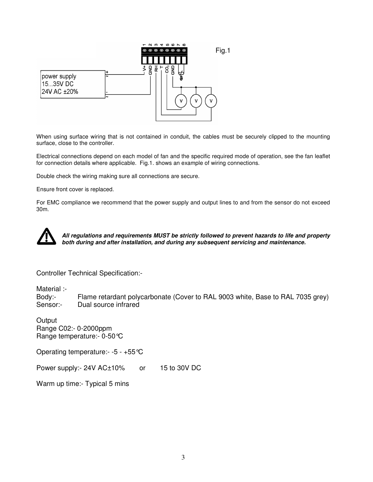

When using surface wiring that is not contained in conduit, the cables must be securely clipped to the mounting surface, close to the controller.

Electrical connections depend on each model of fan and the specific required mode of operation, see the fan leaflet for connection details where applicable. Fig.1. shows an example of wiring connections.

Double check the wiring making sure all connections are secure.

Ensure front cover is replaced.

For EMC compliance we recommend that the power supply and output lines to and from the sensor do not exceed 30m.



**All regulations and requirements MUST be strictly followed to prevent hazards to life and property both during and after installation, and during any subsequent servicing and maintenance.**

Controller Technical Specification:-

Material :-

Body:- Flame retardant polycarbonate (Cover to RAL 9003 white, Base to RAL 7035 grey) Sensor:- Dual source infrared

**Output** Range C02:- 0-2000ppm Range temperature:- 0-50°C

Operating temperature:- -5 - +55°C

Power supply:- 24V AC±10% or 15 to 30V DC

Warm up time:- Typical 5 mins